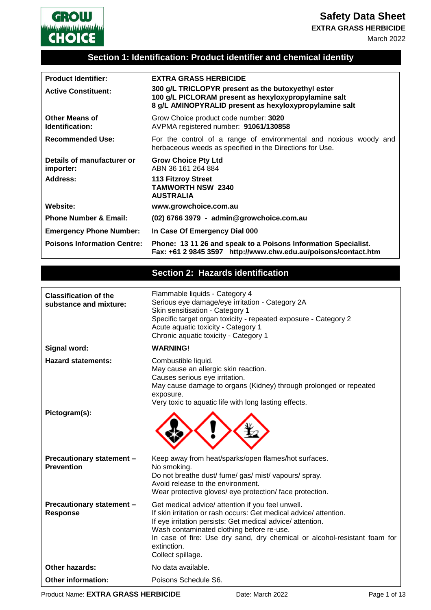**Safety Data Sheet**

**EXTRA GRASS HERBICIDE**



# **Section 1: Identification: Product identifier and chemical identity**

**GROW** 

| <b>Product Identifier:</b>               | <b>EXTRA GRASS HERBICIDE</b>                                                                                                                                         |
|------------------------------------------|----------------------------------------------------------------------------------------------------------------------------------------------------------------------|
| <b>Active Constituent:</b>               | 300 g/L TRICLOPYR present as the butoxyethyl ester<br>100 g/L PICLORAM present as hexyloxypropylamine salt<br>8 g/L AMINOPYRALID present as hexyloxypropylamine salt |
| <b>Other Means of</b><br>Identification: | Grow Choice product code number: 3020<br>AVPMA registered number: 91061/130858                                                                                       |
| <b>Recommended Use:</b>                  | For the control of a range of environmental and noxious woody and<br>herbaceous weeds as specified in the Directions for Use.                                        |
| Details of manufacturer or<br>importer:  | <b>Grow Choice Pty Ltd</b><br>ABN 36 161 264 884                                                                                                                     |
| Address:                                 | <b>113 Fitzroy Street</b><br><b>TAMWORTH NSW 2340</b><br><b>AUSTRALIA</b>                                                                                            |
| <b>Website:</b>                          | www.growchoice.com.au                                                                                                                                                |
| <b>Phone Number &amp; Email:</b>         | (02) 6766 3979 - admin@growchoice.com.au                                                                                                                             |
| <b>Emergency Phone Number:</b>           | In Case Of Emergency Dial 000                                                                                                                                        |
| <b>Poisons Information Centre:</b>       | Phone: 13 11 26 and speak to a Poisons Information Specialist.<br>Fax: +61 2 9845 3597 http://www.chw.edu.au/poisons/contact.htm                                     |

# **Section 2: Hazards identification**

| <b>Classification of the</b><br>substance and mixture: | Flammable liquids - Category 4<br>Serious eye damage/eye irritation - Category 2A<br>Skin sensitisation - Category 1<br>Specific target organ toxicity - repeated exposure - Category 2<br>Acute aquatic toxicity - Category 1<br>Chronic aquatic toxicity - Category 1                                                                          |
|--------------------------------------------------------|--------------------------------------------------------------------------------------------------------------------------------------------------------------------------------------------------------------------------------------------------------------------------------------------------------------------------------------------------|
| Signal word:                                           | <b>WARNING!</b>                                                                                                                                                                                                                                                                                                                                  |
| <b>Hazard statements:</b>                              | Combustible liquid.<br>May cause an allergic skin reaction.<br>Causes serious eye irritation.<br>May cause damage to organs (Kidney) through prolonged or repeated<br>exposure.<br>Very toxic to aquatic life with long lasting effects.                                                                                                         |
| Pictogram(s):                                          |                                                                                                                                                                                                                                                                                                                                                  |
| <b>Precautionary statement -</b><br><b>Prevention</b>  | Keep away from heat/sparks/open flames/hot surfaces.<br>No smoking.<br>Do not breathe dust/ fume/ gas/ mist/ vapours/ spray.<br>Avoid release to the environment.<br>Wear protective gloves/ eye protection/ face protection.                                                                                                                    |
| Precautionary statement -<br>Response                  | Get medical advice/ attention if you feel unwell.<br>If skin irritation or rash occurs: Get medical advice/attention.<br>If eye irritation persists: Get medical advice/attention.<br>Wash contaminated clothing before re-use.<br>In case of fire: Use dry sand, dry chemical or alcohol-resistant foam for<br>extinction.<br>Collect spillage. |
| <b>Other hazards:</b>                                  | No data available.                                                                                                                                                                                                                                                                                                                               |
| <b>Other information:</b>                              | Poisons Schedule S6.                                                                                                                                                                                                                                                                                                                             |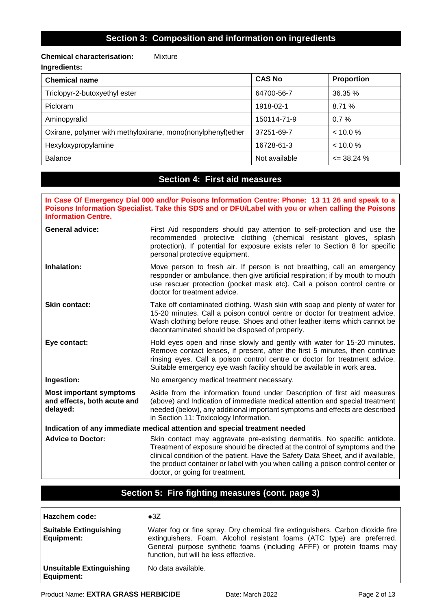### **Chemical characterisation:** Mixture **Ingredients:**

| <b>Chemical name</b>                                        | <b>CAS No</b> | <b>Proportion</b> |
|-------------------------------------------------------------|---------------|-------------------|
| Triclopyr-2-butoxyethyl ester                               | 64700-56-7    | 36.35%            |
| Picloram                                                    | 1918-02-1     | 8.71%             |
| Aminopyralid                                                | 150114-71-9   | $0.7\%$           |
| Oxirane, polymer with methyloxirane, mono(nonylphenyl)ether | 37251-69-7    | $< 10.0 \%$       |
| Hexyloxypropylamine                                         | 16728-61-3    | < 10.0 %          |
| <b>Balance</b>                                              | Not available | $\leq$ 38.24 %    |

### **Section 4: First aid measures**

**In Case Of Emergency Dial 000 and/or Poisons Information Centre: Phone: 13 11 26 and speak to a Poisons Information Specialist. Take this SDS and or DFU/Label with you or when calling the Poisons Information Centre.**

| <b>General advice:</b>                                                     | First Aid responders should pay attention to self-protection and use the<br>recommended protective clothing (chemical resistant gloves, splash<br>protection). If potential for exposure exists refer to Section 8 for specific<br>personal protective equipment.                                               |  |
|----------------------------------------------------------------------------|-----------------------------------------------------------------------------------------------------------------------------------------------------------------------------------------------------------------------------------------------------------------------------------------------------------------|--|
| Inhalation:                                                                | Move person to fresh air. If person is not breathing, call an emergency<br>responder or ambulance, then give artificial respiration; if by mouth to mouth<br>use rescuer protection (pocket mask etc). Call a poison control centre or<br>doctor for treatment advice.                                          |  |
| <b>Skin contact:</b>                                                       | Take off contaminated clothing. Wash skin with soap and plenty of water for<br>15-20 minutes. Call a poison control centre or doctor for treatment advice.<br>Wash clothing before reuse. Shoes and other leather items which cannot be<br>decontaminated should be disposed of properly.                       |  |
| Eye contact:                                                               | Hold eyes open and rinse slowly and gently with water for 15-20 minutes.<br>Remove contact lenses, if present, after the first 5 minutes, then continue<br>rinsing eyes. Call a poison control centre or doctor for treatment advice.<br>Suitable emergency eye wash facility should be available in work area. |  |
| Ingestion:                                                                 | No emergency medical treatment necessary.                                                                                                                                                                                                                                                                       |  |
| <b>Most important symptoms</b><br>and effects, both acute and<br>delayed:  | Aside from the information found under Description of first aid measures<br>(above) and Indication of immediate medical attention and special treatment<br>needed (below), any additional important symptoms and effects are described<br>in Section 11: Toxicology Information.                                |  |
| Indication of any immediate medical attention and special treatment needed |                                                                                                                                                                                                                                                                                                                 |  |

Advice to Doctor: Skin contact may aggravate pre-existing dermatitis. No specific antidote. Treatment of exposure should be directed at the control of symptoms and the clinical condition of the patient. Have the Safety Data Sheet, and if available, the product container or label with you when calling a poison control center or doctor, or going for treatment.

## **Section 5: Fire fighting measures (cont. page 3)**

| Hazchem code:                                      | $\bullet$ 3Z                                                                                                                                                                                                                                                              |
|----------------------------------------------------|---------------------------------------------------------------------------------------------------------------------------------------------------------------------------------------------------------------------------------------------------------------------------|
| <b>Suitable Extinguishing</b><br><b>Equipment:</b> | Water fog or fine spray. Dry chemical fire extinguishers. Carbon dioxide fire<br>extinguishers. Foam. Alcohol resistant foams (ATC type) are preferred.<br>General purpose synthetic foams (including AFFF) or protein foams may<br>function, but will be less effective. |
| Unsuitable Extinguishing<br><b>Equipment:</b>      | No data available.                                                                                                                                                                                                                                                        |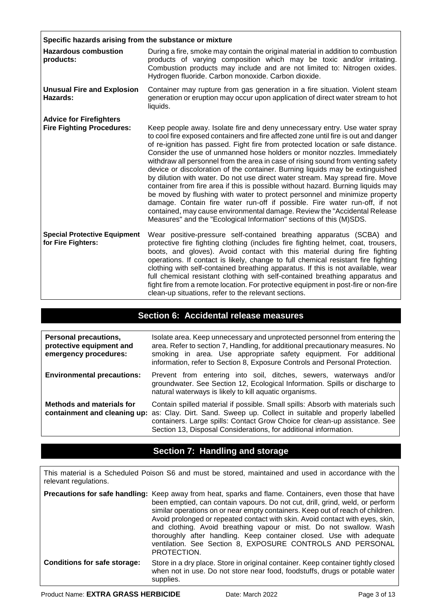| Specific hazards arising from the substance or mixture             |                                                                                                                                                                                                                                                                                                                                                                                                                                                                                                                                                                                                                                                                                                                                                                                                                                                                                                                                                                                             |  |
|--------------------------------------------------------------------|---------------------------------------------------------------------------------------------------------------------------------------------------------------------------------------------------------------------------------------------------------------------------------------------------------------------------------------------------------------------------------------------------------------------------------------------------------------------------------------------------------------------------------------------------------------------------------------------------------------------------------------------------------------------------------------------------------------------------------------------------------------------------------------------------------------------------------------------------------------------------------------------------------------------------------------------------------------------------------------------|--|
| <b>Hazardous combustion</b><br>products:                           | During a fire, smoke may contain the original material in addition to combustion<br>products of varying composition which may be toxic and/or irritating.<br>Combustion products may include and are not limited to: Nitrogen oxides.<br>Hydrogen fluoride. Carbon monoxide. Carbon dioxide.                                                                                                                                                                                                                                                                                                                                                                                                                                                                                                                                                                                                                                                                                                |  |
| <b>Unusual Fire and Explosion</b><br>Hazards:                      | Container may rupture from gas generation in a fire situation. Violent steam<br>generation or eruption may occur upon application of direct water stream to hot<br>liquids.                                                                                                                                                                                                                                                                                                                                                                                                                                                                                                                                                                                                                                                                                                                                                                                                                 |  |
| <b>Advice for Firefighters</b><br><b>Fire Fighting Procedures:</b> | Keep people away. Isolate fire and deny unnecessary entry. Use water spray<br>to cool fire exposed containers and fire affected zone until fire is out and danger<br>of re-ignition has passed. Fight fire from protected location or safe distance.<br>Consider the use of unmanned hose holders or monitor nozzles. Immediately<br>withdraw all personnel from the area in case of rising sound from venting safety<br>device or discoloration of the container. Burning liquids may be extinguished<br>by dilution with water. Do not use direct water stream. May spread fire. Move<br>container from fire area if this is possible without hazard. Burning liquids may<br>be moved by flushing with water to protect personnel and minimize property<br>damage. Contain fire water run-off if possible. Fire water run-off, if not<br>contained, may cause environmental damage. Review the "Accidental Release<br>Measures" and the "Ecological Information" sections of this (M)SDS. |  |
| <b>Special Protective Equipment</b><br>for Fire Fighters:          | Wear positive-pressure self-contained breathing apparatus (SCBA) and<br>protective fire fighting clothing (includes fire fighting helmet, coat, trousers,<br>boots, and gloves). Avoid contact with this material during fire fighting<br>operations. If contact is likely, change to full chemical resistant fire fighting<br>clothing with self-contained breathing apparatus. If this is not available, wear<br>full chemical resistant clothing with self-contained breathing apparatus and<br>fight fire from a remote location. For protective equipment in post-fire or non-fire<br>clean-up situations, refer to the relevant sections.                                                                                                                                                                                                                                                                                                                                             |  |

## **Section 6: Accidental release measures**

| <b>Personal precautions,</b><br>protective equipment and<br>emergency procedures: | Isolate area. Keep unnecessary and unprotected personnel from entering the<br>area. Refer to section 7, Handling, for additional precautionary measures. No<br>smoking in area. Use appropriate safety equipment. For additional<br>information, refer to Section 8, Exposure Controls and Personal Protection. |
|-----------------------------------------------------------------------------------|-----------------------------------------------------------------------------------------------------------------------------------------------------------------------------------------------------------------------------------------------------------------------------------------------------------------|
| <b>Environmental precautions:</b>                                                 | Prevent from entering into soil, ditches, sewers, waterways<br>and/or<br>groundwater. See Section 12, Ecological Information. Spills or discharge to<br>natural waterways is likely to kill aquatic organisms.                                                                                                  |
| <b>Methods and materials for</b><br>containment and cleaning up:                  | Contain spilled material if possible. Small spills: Absorb with materials such<br>as: Clay. Dirt. Sand. Sweep up. Collect in suitable and properly labelled<br>containers. Large spills: Contact Grow Choice for clean-up assistance. See<br>Section 13, Disposal Considerations, for additional information.   |

## **Section 7: Handling and storage**

This material is a Scheduled Poison S6 and must be stored, maintained and used in accordance with the relevant regulations.

**Precautions for safe handling:** Keep away from heat, sparks and flame. Containers, even those that have been emptied, can contain vapours. Do not cut, drill, grind, weld, or perform similar operations on or near empty containers. Keep out of reach of children. Avoid prolonged or repeated contact with skin. Avoid contact with eyes, skin, and clothing. Avoid breathing vapour or mist. Do not swallow. Wash thoroughly after handling. Keep container closed. Use with adequate ventilation. See Section 8, EXPOSURE CONTROLS AND PERSONAL PROTECTION. **Conditions for safe storage:** Store in a dry place. Store in original container. Keep container tightly closed when not in use. Do not store near food, foodstuffs, drugs or potable water supplies.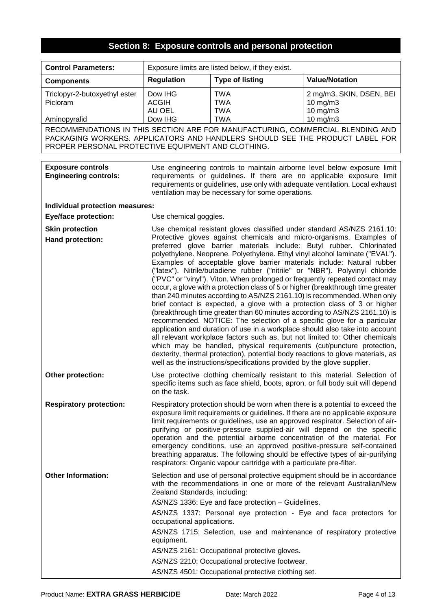# **Section 8: Exposure controls and personal protection**

| <b>Control Parameters:</b>                                                                                                                                                                                           | Exposure limits are listed below, if they exist. |                                                                         |                                                                                                                                                                                                                                                                                                                                                                                                                                                                                                                                                                                                                                                                                                                                                                                                                                                                                                                                                                                                                                                                                                                                                                                                                                                                                   |
|----------------------------------------------------------------------------------------------------------------------------------------------------------------------------------------------------------------------|--------------------------------------------------|-------------------------------------------------------------------------|-----------------------------------------------------------------------------------------------------------------------------------------------------------------------------------------------------------------------------------------------------------------------------------------------------------------------------------------------------------------------------------------------------------------------------------------------------------------------------------------------------------------------------------------------------------------------------------------------------------------------------------------------------------------------------------------------------------------------------------------------------------------------------------------------------------------------------------------------------------------------------------------------------------------------------------------------------------------------------------------------------------------------------------------------------------------------------------------------------------------------------------------------------------------------------------------------------------------------------------------------------------------------------------|
| <b>Components</b>                                                                                                                                                                                                    | <b>Regulation</b>                                | <b>Type of listing</b>                                                  | <b>Value/Notation</b>                                                                                                                                                                                                                                                                                                                                                                                                                                                                                                                                                                                                                                                                                                                                                                                                                                                                                                                                                                                                                                                                                                                                                                                                                                                             |
| Triclopyr-2-butoxyethyl ester<br>Picloram                                                                                                                                                                            | Dow IHG<br><b>ACGIH</b><br>AU OEL                | <b>TWA</b><br><b>TWA</b><br><b>TWA</b>                                  | 2 mg/m3, SKIN, DSEN, BEI<br>10 mg/m3<br>10 mg/m3                                                                                                                                                                                                                                                                                                                                                                                                                                                                                                                                                                                                                                                                                                                                                                                                                                                                                                                                                                                                                                                                                                                                                                                                                                  |
| Aminopyralid                                                                                                                                                                                                         | Dow IHG                                          | <b>TWA</b>                                                              | 10 mg/m3                                                                                                                                                                                                                                                                                                                                                                                                                                                                                                                                                                                                                                                                                                                                                                                                                                                                                                                                                                                                                                                                                                                                                                                                                                                                          |
| RECOMMENDATIONS IN THIS SECTION ARE FOR MANUFACTURING, COMMERCIAL BLENDING AND<br>PACKAGING WORKERS. APPLICATORS AND HANDLERS SHOULD SEE THE PRODUCT LABEL FOR<br>PROPER PERSONAL PROTECTIVE EQUIPMENT AND CLOTHING. |                                                  |                                                                         |                                                                                                                                                                                                                                                                                                                                                                                                                                                                                                                                                                                                                                                                                                                                                                                                                                                                                                                                                                                                                                                                                                                                                                                                                                                                                   |
|                                                                                                                                                                                                                      |                                                  |                                                                         |                                                                                                                                                                                                                                                                                                                                                                                                                                                                                                                                                                                                                                                                                                                                                                                                                                                                                                                                                                                                                                                                                                                                                                                                                                                                                   |
| <b>Exposure controls</b><br><b>Engineering controls:</b>                                                                                                                                                             |                                                  | ventilation may be necessary for some operations.                       | Use engineering controls to maintain airborne level below exposure limit<br>requirements or guidelines. If there are no applicable exposure limit<br>requirements or guidelines, use only with adequate ventilation. Local exhaust                                                                                                                                                                                                                                                                                                                                                                                                                                                                                                                                                                                                                                                                                                                                                                                                                                                                                                                                                                                                                                                |
| Individual protection measures:                                                                                                                                                                                      |                                                  |                                                                         |                                                                                                                                                                                                                                                                                                                                                                                                                                                                                                                                                                                                                                                                                                                                                                                                                                                                                                                                                                                                                                                                                                                                                                                                                                                                                   |
| <b>Eye/face protection:</b>                                                                                                                                                                                          | Use chemical goggles.                            |                                                                         |                                                                                                                                                                                                                                                                                                                                                                                                                                                                                                                                                                                                                                                                                                                                                                                                                                                                                                                                                                                                                                                                                                                                                                                                                                                                                   |
| <b>Skin protection</b><br>Hand protection:                                                                                                                                                                           |                                                  | well as the instructions/specifications provided by the glove supplier. | Use chemical resistant gloves classified under standard AS/NZS 2161.10:<br>Protective gloves against chemicals and micro-organisms. Examples of<br>preferred glove barrier materials include: Butyl rubber. Chlorinated<br>polyethylene. Neoprene. Polyethylene. Ethyl vinyl alcohol laminate ("EVAL").<br>Examples of acceptable glove barrier materials include: Natural rubber<br>("latex"). Nitrile/butadiene rubber ("nitrile" or "NBR"). Polyvinyl chloride<br>("PVC" or "vinyl"). Viton. When prolonged or frequently repeated contact may<br>occur, a glove with a protection class of 5 or higher (breakthrough time greater<br>than 240 minutes according to AS/NZS 2161.10) is recommended. When only<br>brief contact is expected, a glove with a protection class of 3 or higher<br>(breakthrough time greater than 60 minutes according to AS/NZS 2161.10) is<br>recommended. NOTICE: The selection of a specific glove for a particular<br>application and duration of use in a workplace should also take into account<br>all relevant workplace factors such as, but not limited to: Other chemicals<br>which may be handled, physical requirements (cut/puncture protection,<br>dexterity, thermal protection), potential body reactions to glove materials, as |
| Other protection:                                                                                                                                                                                                    | on the task.                                     |                                                                         | Use protective clothing chemically resistant to this material. Selection of<br>specific items such as face shield, boots, apron, or full body suit will depend                                                                                                                                                                                                                                                                                                                                                                                                                                                                                                                                                                                                                                                                                                                                                                                                                                                                                                                                                                                                                                                                                                                    |
| <b>Respiratory protection:</b>                                                                                                                                                                                       |                                                  | respirators: Organic vapour cartridge with a particulate pre-filter.    | Respiratory protection should be worn when there is a potential to exceed the<br>exposure limit requirements or guidelines. If there are no applicable exposure<br>limit requirements or guidelines, use an approved respirator. Selection of air-<br>purifying or positive-pressure supplied-air will depend on the specific<br>operation and the potential airborne concentration of the material. For<br>emergency conditions, use an approved positive-pressure self-contained<br>breathing apparatus. The following should be effective types of air-purifying                                                                                                                                                                                                                                                                                                                                                                                                                                                                                                                                                                                                                                                                                                               |
| <b>Other Information:</b>                                                                                                                                                                                            | Zealand Standards, including:                    |                                                                         | Selection and use of personal protective equipment should be in accordance<br>with the recommendations in one or more of the relevant Australian/New                                                                                                                                                                                                                                                                                                                                                                                                                                                                                                                                                                                                                                                                                                                                                                                                                                                                                                                                                                                                                                                                                                                              |
|                                                                                                                                                                                                                      |                                                  | AS/NZS 1336: Eye and face protection - Guidelines.                      | AS/NZS 1337: Personal eye protection - Eye and face protectors for                                                                                                                                                                                                                                                                                                                                                                                                                                                                                                                                                                                                                                                                                                                                                                                                                                                                                                                                                                                                                                                                                                                                                                                                                |
|                                                                                                                                                                                                                      | occupational applications.                       |                                                                         |                                                                                                                                                                                                                                                                                                                                                                                                                                                                                                                                                                                                                                                                                                                                                                                                                                                                                                                                                                                                                                                                                                                                                                                                                                                                                   |
|                                                                                                                                                                                                                      | equipment.                                       |                                                                         | AS/NZS 1715: Selection, use and maintenance of respiratory protective                                                                                                                                                                                                                                                                                                                                                                                                                                                                                                                                                                                                                                                                                                                                                                                                                                                                                                                                                                                                                                                                                                                                                                                                             |
|                                                                                                                                                                                                                      |                                                  | AS/NZS 2161: Occupational protective gloves.                            |                                                                                                                                                                                                                                                                                                                                                                                                                                                                                                                                                                                                                                                                                                                                                                                                                                                                                                                                                                                                                                                                                                                                                                                                                                                                                   |
|                                                                                                                                                                                                                      |                                                  | AS/NZS 2210: Occupational protective footwear.                          |                                                                                                                                                                                                                                                                                                                                                                                                                                                                                                                                                                                                                                                                                                                                                                                                                                                                                                                                                                                                                                                                                                                                                                                                                                                                                   |
|                                                                                                                                                                                                                      |                                                  | AS/NZS 4501: Occupational protective clothing set.                      |                                                                                                                                                                                                                                                                                                                                                                                                                                                                                                                                                                                                                                                                                                                                                                                                                                                                                                                                                                                                                                                                                                                                                                                                                                                                                   |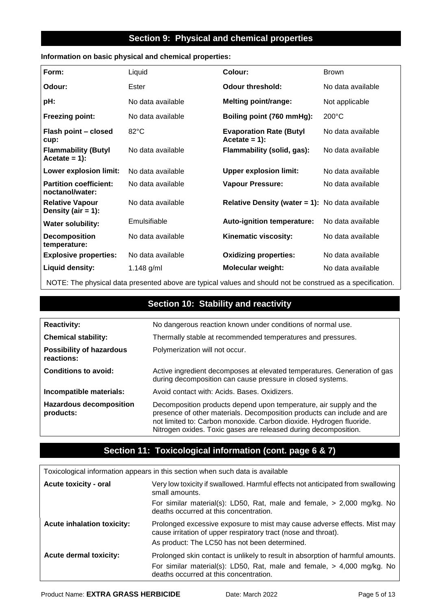### **Section 9: Physical and chemical properties**

#### **Information on basic physical and chemical properties:**

| Form:                                            | Liquid            | Colour:                                                | <b>Brown</b>      |
|--------------------------------------------------|-------------------|--------------------------------------------------------|-------------------|
| Odour:                                           | Ester             | <b>Odour threshold:</b>                                | No data available |
| pH:                                              | No data available | <b>Melting point/range:</b>                            | Not applicable    |
| <b>Freezing point:</b>                           | No data available | Boiling point (760 mmHg):                              | $200^{\circ}$ C   |
| Flash point - closed<br>cup:                     | $82^{\circ}$ C    | <b>Evaporation Rate (Butyl</b><br>$Accetate = 1$ :     | No data available |
| <b>Flammability (Butyl</b><br>$Accitate = 1$ :   | No data available | Flammability (solid, gas):                             | No data available |
| Lower explosion limit:                           | No data available | <b>Upper explosion limit:</b>                          | No data available |
| <b>Partition coefficient:</b><br>noctanol/water: | No data available | <b>Vapour Pressure:</b>                                | No data available |
| <b>Relative Vapour</b><br>Density (air $= 1$ ):  | No data available | <b>Relative Density (water = 1):</b> No data available |                   |
| <b>Water solubility:</b>                         | Emulsifiable      | <b>Auto-ignition temperature:</b>                      | No data available |
| <b>Decomposition</b><br>temperature:             | No data available | Kinematic viscosity:                                   | No data available |
| <b>Explosive properties:</b>                     | No data available | <b>Oxidizing properties:</b>                           | No data available |
| Liquid density:                                  | 1.148 $g/ml$      | <b>Molecular weight:</b>                               | No data available |

NOTE: The physical data presented above are typical values and should not be construed as a specification.

# **Section 10: Stability and reactivity**

| <b>Reactivity:</b>                            | No dangerous reaction known under conditions of normal use.                                                                                                                                                                                                                             |
|-----------------------------------------------|-----------------------------------------------------------------------------------------------------------------------------------------------------------------------------------------------------------------------------------------------------------------------------------------|
| <b>Chemical stability:</b>                    | Thermally stable at recommended temperatures and pressures.                                                                                                                                                                                                                             |
| <b>Possibility of hazardous</b><br>reactions: | Polymerization will not occur.                                                                                                                                                                                                                                                          |
| <b>Conditions to avoid:</b>                   | Active ingredient decomposes at elevated temperatures. Generation of gas<br>during decomposition can cause pressure in closed systems.                                                                                                                                                  |
| Incompatible materials:                       | Avoid contact with: Acids. Bases. Oxidizers.                                                                                                                                                                                                                                            |
| <b>Hazardous decomposition</b><br>products:   | Decomposition products depend upon temperature, air supply and the<br>presence of other materials. Decomposition products can include and are<br>not limited to: Carbon monoxide. Carbon dioxide. Hydrogen fluoride.<br>Nitrogen oxides. Toxic gases are released during decomposition. |

## **Section 11: Toxicological information (cont. page 6 & 7)**

| Toxicological information appears in this section when such data is available |                                                                                                                                                                                                      |  |
|-------------------------------------------------------------------------------|------------------------------------------------------------------------------------------------------------------------------------------------------------------------------------------------------|--|
| <b>Acute toxicity - oral</b>                                                  | Very low toxicity if swallowed. Harmful effects not anticipated from swallowing<br>small amounts.                                                                                                    |  |
|                                                                               | For similar material(s): LD50, Rat, male and female, > 2,000 mg/kg. No<br>deaths occurred at this concentration.                                                                                     |  |
| <b>Acute inhalation toxicity:</b>                                             | Prolonged excessive exposure to mist may cause adverse effects. Mist may<br>cause irritation of upper respiratory tract (nose and throat).<br>As product: The LC50 has not been determined.          |  |
| <b>Acute dermal toxicity:</b>                                                 | Prolonged skin contact is unlikely to result in absorption of harmful amounts.<br>For similar material(s): LD50, Rat, male and female, $>$ 4,000 mg/kg. No<br>deaths occurred at this concentration. |  |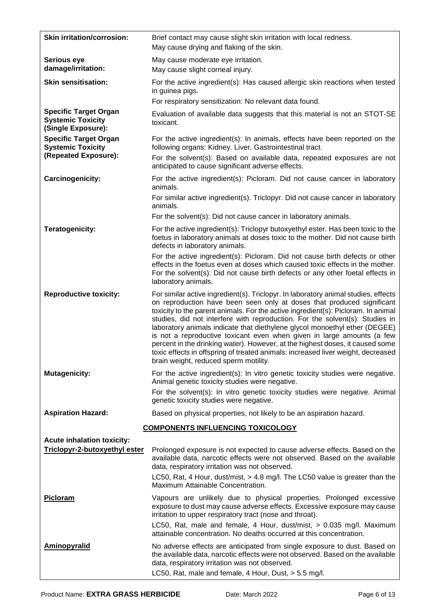| <b>Skin irritation/corrosion:</b>                                                | Brief contact may cause slight skin irritation with local redness.<br>May cause drying and flaking of the skin.                                                                                                                                                                                                                                                                                                                                                                                                                                                                                                                                                                                         |
|----------------------------------------------------------------------------------|---------------------------------------------------------------------------------------------------------------------------------------------------------------------------------------------------------------------------------------------------------------------------------------------------------------------------------------------------------------------------------------------------------------------------------------------------------------------------------------------------------------------------------------------------------------------------------------------------------------------------------------------------------------------------------------------------------|
| Serious eye<br>damage/irritation:                                                | May cause moderate eye irritation.<br>May cause slight corneal injury.                                                                                                                                                                                                                                                                                                                                                                                                                                                                                                                                                                                                                                  |
| <b>Skin sensitisation:</b>                                                       | For the active ingredient(s): Has caused allergic skin reactions when tested<br>in guinea pigs.                                                                                                                                                                                                                                                                                                                                                                                                                                                                                                                                                                                                         |
|                                                                                  | For respiratory sensitization: No relevant data found.                                                                                                                                                                                                                                                                                                                                                                                                                                                                                                                                                                                                                                                  |
| <b>Specific Target Organ</b><br><b>Systemic Toxicity</b><br>(Single Exposure):   | Evaluation of available data suggests that this material is not an STOT-SE<br>toxicant.                                                                                                                                                                                                                                                                                                                                                                                                                                                                                                                                                                                                                 |
| <b>Specific Target Organ</b><br><b>Systemic Toxicity</b><br>(Repeated Exposure): | For the active ingredient(s): In animals, effects have been reported on the<br>following organs: Kidney. Liver. Gastrointestinal tract.<br>For the solvent(s): Based on available data, repeated exposures are not                                                                                                                                                                                                                                                                                                                                                                                                                                                                                      |
|                                                                                  | anticipated to cause significant adverse effects.                                                                                                                                                                                                                                                                                                                                                                                                                                                                                                                                                                                                                                                       |
| Carcinogenicity:                                                                 | For the active ingredient(s): Picloram. Did not cause cancer in laboratory<br>animals.                                                                                                                                                                                                                                                                                                                                                                                                                                                                                                                                                                                                                  |
|                                                                                  | For similar active ingredient(s). Triclopyr. Did not cause cancer in laboratory<br>animals.                                                                                                                                                                                                                                                                                                                                                                                                                                                                                                                                                                                                             |
|                                                                                  | For the solvent(s): Did not cause cancer in laboratory animals.                                                                                                                                                                                                                                                                                                                                                                                                                                                                                                                                                                                                                                         |
| Teratogenicity:                                                                  | For the active ingredient(s): Triclopyr butoxyethyl ester. Has been toxic to the<br>foetus in laboratory animals at doses toxic to the mother. Did not cause birth<br>defects in laboratory animals.                                                                                                                                                                                                                                                                                                                                                                                                                                                                                                    |
|                                                                                  | For the active ingredient(s): Picloram. Did not cause birth defects or other<br>effects in the foetus even at doses which caused toxic effects in the mother.<br>For the solvent(s): Did not cause birth defects or any other foetal effects in<br>laboratory animals.                                                                                                                                                                                                                                                                                                                                                                                                                                  |
| <b>Reproductive toxicity:</b>                                                    | For similar active ingredient(s). Triclopyr. In laboratory animal studies, effects<br>on reproduction have been seen only at doses that produced significant<br>toxicity to the parent animals. For the active ingredient(s): Picloram. In animal<br>studies, did not interfere with reproduction. For the solvent(s): Studies in<br>laboratory animals indicate that diethylene glycol monoethyl ether (DEGEE)<br>is not a reproductive toxicant even when given in large amounts (a few<br>percent in the drinking water). However, at the highest doses, it caused some<br>toxic effects in offspring of treated animals: increased liver weight, decreased<br>brain weight, reduced sperm motility. |
| <b>Mutagenicity:</b>                                                             | For the active ingredient(s): In vitro genetic toxicity studies were negative.<br>Animal genetic toxicity studies were negative.                                                                                                                                                                                                                                                                                                                                                                                                                                                                                                                                                                        |
|                                                                                  | For the solvent(s): In vitro genetic toxicity studies were negative. Animal<br>genetic toxicity studies were negative.                                                                                                                                                                                                                                                                                                                                                                                                                                                                                                                                                                                  |
| <b>Aspiration Hazard:</b>                                                        | Based on physical properties, not likely to be an aspiration hazard.                                                                                                                                                                                                                                                                                                                                                                                                                                                                                                                                                                                                                                    |
|                                                                                  | <b>COMPONENTS INFLUENCING TOXICOLOGY</b>                                                                                                                                                                                                                                                                                                                                                                                                                                                                                                                                                                                                                                                                |
| <b>Acute inhalation toxicity:</b>                                                |                                                                                                                                                                                                                                                                                                                                                                                                                                                                                                                                                                                                                                                                                                         |
| Triclopyr-2-butoxyethyl ester                                                    | Prolonged exposure is not expected to cause adverse effects. Based on the<br>available data, narcotic effects were not observed. Based on the available<br>data, respiratory irritation was not observed.                                                                                                                                                                                                                                                                                                                                                                                                                                                                                               |
|                                                                                  | LC50, Rat, 4 Hour, dust/mist, > 4.8 mg/l. The LC50 value is greater than the<br>Maximum Attainable Concentration.                                                                                                                                                                                                                                                                                                                                                                                                                                                                                                                                                                                       |
| Picloram                                                                         | Vapours are unlikely due to physical properties. Prolonged excessive<br>exposure to dust may cause adverse effects. Excessive exposure may cause<br>irritation to upper respiratory tract (nose and throat).                                                                                                                                                                                                                                                                                                                                                                                                                                                                                            |
|                                                                                  | LC50, Rat, male and female, 4 Hour, dust/mist, > 0.035 mg/l. Maximum<br>attainable concentration. No deaths occurred at this concentration.                                                                                                                                                                                                                                                                                                                                                                                                                                                                                                                                                             |
| <b>Aminopyralid</b>                                                              | No adverse effects are anticipated from single exposure to dust. Based on<br>the available data, narcotic effects were not observed. Based on the available<br>data, respiratory irritation was not observed.<br>LC50, Rat, male and female, 4 Hour, Dust, > 5.5 mg/l.                                                                                                                                                                                                                                                                                                                                                                                                                                  |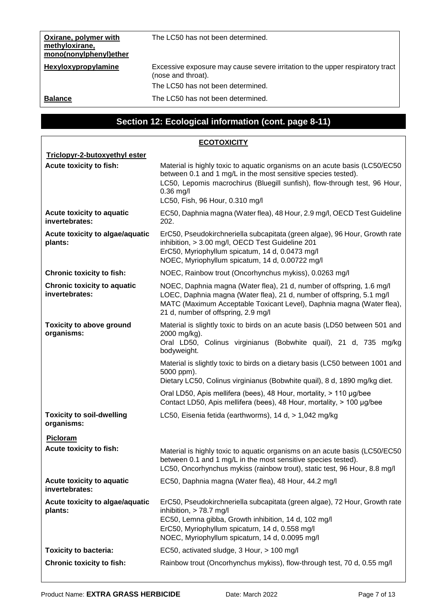| Oxirane, polymer with<br>methyloxirane,<br>mono(nonylphenyl)ether | The LC50 has not been determined.                                                                   |
|-------------------------------------------------------------------|-----------------------------------------------------------------------------------------------------|
| Hexyloxypropylamine                                               | Excessive exposure may cause severe irritation to the upper respiratory tract<br>(nose and throat). |
|                                                                   | The LC50 has not been determined.                                                                   |
| <b>Balance</b>                                                    | The LC50 has not been determined.                                                                   |

# **Section 12: Ecological information (cont. page 8-11)**

| <b>ECOTOXICITY</b>                                   |                                                                                                                                                                                                                                                                             |  |  |
|------------------------------------------------------|-----------------------------------------------------------------------------------------------------------------------------------------------------------------------------------------------------------------------------------------------------------------------------|--|--|
| Triclopyr-2-butoxyethyl ester                        |                                                                                                                                                                                                                                                                             |  |  |
| Acute toxicity to fish:                              | Material is highly toxic to aquatic organisms on an acute basis (LC50/EC50)<br>between 0.1 and 1 mg/L in the most sensitive species tested).<br>LC50, Lepomis macrochirus (Bluegill sunfish), flow-through test, 96 Hour,<br>$0.36$ mg/l<br>LC50, Fish, 96 Hour, 0.310 mg/l |  |  |
| Acute toxicity to aquatic<br>invertebrates:          | EC50, Daphnia magna (Water flea), 48 Hour, 2.9 mg/l, OECD Test Guideline<br>202.                                                                                                                                                                                            |  |  |
| Acute toxicity to algae/aquatic<br>plants:           | ErC50, Pseudokirchneriella subcapitata (green algae), 96 Hour, Growth rate<br>inhibition, > 3.00 mg/l, OECD Test Guideline 201<br>ErC50, Myriophyllum spicatum, 14 d, 0.0473 mg/l<br>NOEC, Myriophyllum spicatum, 14 d, 0.00722 mg/l                                        |  |  |
| <b>Chronic toxicity to fish:</b>                     | NOEC, Rainbow trout (Oncorhynchus mykiss), 0.0263 mg/l                                                                                                                                                                                                                      |  |  |
| <b>Chronic toxicity to aquatic</b><br>invertebrates: | NOEC, Daphnia magna (Water flea), 21 d, number of offspring, 1.6 mg/l<br>LOEC, Daphnia magna (Water flea), 21 d, number of offspring, 5.1 mg/l<br>MATC (Maximum Acceptable Toxicant Level), Daphnia magna (Water flea),<br>21 d, number of offspring, 2.9 mg/l              |  |  |
| <b>Toxicity to above ground</b><br>organisms:        | Material is slightly toxic to birds on an acute basis (LD50 between 501 and<br>2000 mg/kg).<br>Oral LD50, Colinus virginianus (Bobwhite quail), 21 d, 735 mg/kg<br>bodyweight.                                                                                              |  |  |
|                                                      | Material is slightly toxic to birds on a dietary basis (LC50 between 1001 and<br>5000 ppm).<br>Dietary LC50, Colinus virginianus (Bobwhite quail), 8 d, 1890 mg/kg diet.                                                                                                    |  |  |
|                                                      | Oral LD50, Apis mellifera (bees), 48 Hour, mortality, > 110 µg/bee<br>Contact LD50, Apis mellifera (bees), 48 Hour, mortality, > 100 µg/bee                                                                                                                                 |  |  |
| <b>Toxicity to soil-dwelling</b><br>organisms:       | LC50, Eisenia fetida (earthworms), 14 d, > 1,042 mg/kg                                                                                                                                                                                                                      |  |  |
| <b>Picloram</b>                                      |                                                                                                                                                                                                                                                                             |  |  |
| Acute toxicity to fish:                              | Material is highly toxic to aquatic organisms on an acute basis (LC50/EC50)<br>between 0.1 and 1 mg/L in the most sensitive species tested).<br>LC50, Oncorhynchus mykiss (rainbow trout), static test, 96 Hour, 8.8 mg/l                                                   |  |  |
| Acute toxicity to aquatic<br>invertebrates:          | EC50, Daphnia magna (Water flea), 48 Hour, 44.2 mg/l                                                                                                                                                                                                                        |  |  |
| Acute toxicity to algae/aquatic<br>plants:           | ErC50, Pseudokirchneriella subcapitata (green algae), 72 Hour, Growth rate<br>inhibition, > 78.7 mg/l<br>EC50, Lemna gibba, Growth inhibition, 14 d, 102 mg/l<br>ErC50, Myriophyllum spicaturn, 14 d, 0.558 mg/l<br>NOEC, Myriophyllum spicaturn, 14 d, 0.0095 mg/l         |  |  |
| <b>Toxicity to bacteria:</b>                         | EC50, activated sludge, 3 Hour, > 100 mg/l                                                                                                                                                                                                                                  |  |  |
| <b>Chronic toxicity to fish:</b>                     | Rainbow trout (Oncorhynchus mykiss), flow-through test, 70 d, 0.55 mg/l                                                                                                                                                                                                     |  |  |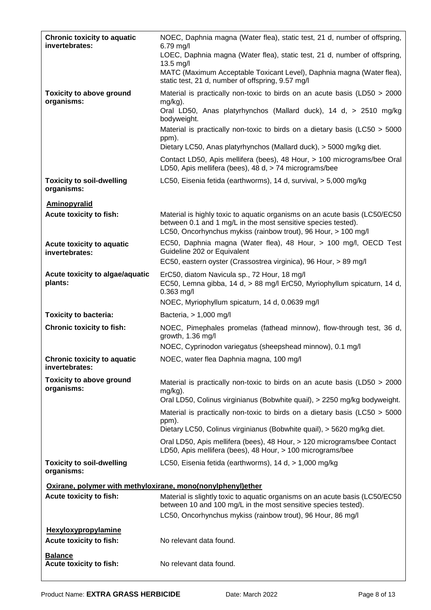| <b>Chronic toxicity to aquatic</b><br>invertebrates:        | NOEC, Daphnia magna (Water flea), static test, 21 d, number of offspring,<br>$6.79$ mg/l<br>LOEC, Daphnia magna (Water flea), static test, 21 d, number of offspring,<br>13.5 mg/l                             |  |
|-------------------------------------------------------------|----------------------------------------------------------------------------------------------------------------------------------------------------------------------------------------------------------------|--|
|                                                             | MATC (Maximum Acceptable Toxicant Level), Daphnia magna (Water flea),<br>static test, 21 d, number of offspring, 9.57 mg/l                                                                                     |  |
| <b>Toxicity to above ground</b><br>organisms:               | Material is practically non-toxic to birds on an acute basis (LD50 > 2000<br>$mg/kg$ ).<br>Oral LD50, Anas platyrhynchos (Mallard duck), 14 d, > 2510 mg/kg<br>bodyweight.                                     |  |
|                                                             | Material is practically non-toxic to birds on a dietary basis (LC50 > 5000<br>ppm).                                                                                                                            |  |
|                                                             | Dietary LC50, Anas platyrhynchos (Mallard duck), > 5000 mg/kg diet.                                                                                                                                            |  |
|                                                             | Contact LD50, Apis mellifera (bees), 48 Hour, > 100 micrograms/bee Oral<br>LD50, Apis mellifera (bees), 48 d, > 74 micrograms/bee                                                                              |  |
| <b>Toxicity to soil-dwelling</b><br>organisms:              | LC50, Eisenia fetida (earthworms), 14 d, survival, > 5,000 mg/kg                                                                                                                                               |  |
| <b>Aminopyralid</b>                                         |                                                                                                                                                                                                                |  |
| Acute toxicity to fish:                                     | Material is highly toxic to aquatic organisms on an acute basis (LC50/EC50<br>between 0.1 and 1 mg/L in the most sensitive species tested).<br>LC50, Oncorhynchus mykiss (rainbow trout), 96 Hour, > 100 mg/l  |  |
| Acute toxicity to aquatic<br>invertebrates:                 | EC50, Daphnia magna (Water flea), 48 Hour, > 100 mg/l, OECD Test<br>Guideline 202 or Equivalent                                                                                                                |  |
|                                                             | EC50, eastern oyster (Crassostrea virginica), 96 Hour, > 89 mg/l                                                                                                                                               |  |
| Acute toxicity to algae/aquatic<br>plants:                  | ErC50, diatom Navicula sp., 72 Hour, 18 mg/l<br>EC50, Lemna gibba, 14 d, > 88 mg/l ErC50, Myriophyllum spicaturn, 14 d,<br>$0.363$ mg/l                                                                        |  |
|                                                             | NOEC, Myriophyllum spicaturn, 14 d, 0.0639 mg/l                                                                                                                                                                |  |
| <b>Toxicity to bacteria:</b>                                | Bacteria, > 1,000 mg/l<br>NOEC, Pimephales promelas (fathead minnow), flow-through test, 36 d,                                                                                                                 |  |
| <b>Chronic toxicity to fish:</b>                            | growth, 1.36 mg/l<br>NOEC, Cyprinodon variegatus (sheepshead minnow), 0.1 mg/l                                                                                                                                 |  |
| <b>Chronic toxicity to aquatic</b>                          | NOEC, water flea Daphnia magna, 100 mg/l                                                                                                                                                                       |  |
| invertebrates:                                              |                                                                                                                                                                                                                |  |
| <b>Toxicity to above ground</b><br>organisms:               | Material is practically non-toxic to birds on an acute basis (LD50 > 2000<br>mg/kg).<br>Oral LD50, Colinus virginianus (Bobwhite quail), > 2250 mg/kg bodyweight.                                              |  |
|                                                             | Material is practically non-toxic to birds on a dietary basis (LC50 > 5000                                                                                                                                     |  |
|                                                             | ppm).                                                                                                                                                                                                          |  |
|                                                             | Dietary LC50, Colinus virginianus (Bobwhite quail), > 5620 mg/kg diet.<br>Oral LD50, Apis mellifera (bees), 48 Hour, > 120 micrograms/bee Contact                                                              |  |
|                                                             | LD50, Apis mellifera (bees), 48 Hour, > 100 micrograms/bee                                                                                                                                                     |  |
| <b>Toxicity to soil-dwelling</b><br>organisms:              | LC50, Eisenia fetida (earthworms), 14 d, > 1,000 mg/kg                                                                                                                                                         |  |
| Oxirane, polymer with methyloxirane, mono(nonylphenyl)ether |                                                                                                                                                                                                                |  |
| Acute toxicity to fish:                                     | Material is slightly toxic to aquatic organisms on an acute basis (LC50/EC50)<br>between 10 and 100 mg/L in the most sensitive species tested).<br>LC50, Oncorhynchus mykiss (rainbow trout), 96 Hour, 86 mg/l |  |
| <b>Hexyloxypropylamine</b>                                  |                                                                                                                                                                                                                |  |
| Acute toxicity to fish:                                     | No relevant data found.                                                                                                                                                                                        |  |
| <b>Balance</b><br>Acute toxicity to fish:                   | No relevant data found.                                                                                                                                                                                        |  |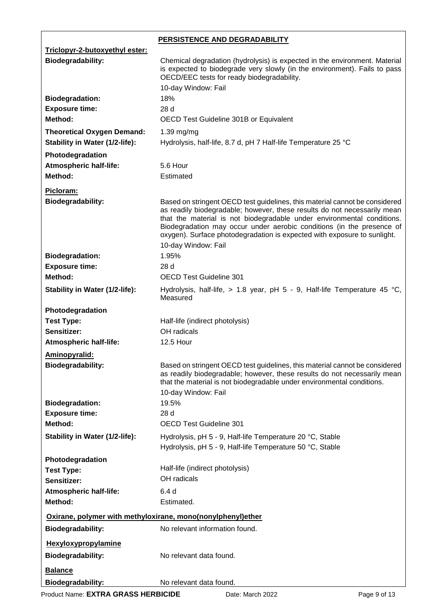|                                                                     | <b>PERSISTENCE AND DEGRADABILITY</b>                                                                                                                                                                                                                                                                                                                                                                          |  |  |
|---------------------------------------------------------------------|---------------------------------------------------------------------------------------------------------------------------------------------------------------------------------------------------------------------------------------------------------------------------------------------------------------------------------------------------------------------------------------------------------------|--|--|
| Triclopyr-2-butoxyethyl ester:                                      |                                                                                                                                                                                                                                                                                                                                                                                                               |  |  |
| <b>Biodegradability:</b>                                            | Chemical degradation (hydrolysis) is expected in the environment. Material<br>is expected to biodegrade very slowly (in the environment). Fails to pass<br>OECD/EEC tests for ready biodegradability.                                                                                                                                                                                                         |  |  |
|                                                                     | 10-day Window: Fail                                                                                                                                                                                                                                                                                                                                                                                           |  |  |
| <b>Biodegradation:</b>                                              | 18%                                                                                                                                                                                                                                                                                                                                                                                                           |  |  |
| <b>Exposure time:</b>                                               | 28 d                                                                                                                                                                                                                                                                                                                                                                                                          |  |  |
| Method:                                                             | OECD Test Guideline 301B or Equivalent                                                                                                                                                                                                                                                                                                                                                                        |  |  |
| <b>Theoretical Oxygen Demand:</b><br>Stability in Water (1/2-life): | 1.39 mg/mg<br>Hydrolysis, half-life, 8.7 d, pH 7 Half-life Temperature 25 °C                                                                                                                                                                                                                                                                                                                                  |  |  |
| Photodegradation                                                    |                                                                                                                                                                                                                                                                                                                                                                                                               |  |  |
| <b>Atmospheric half-life:</b>                                       | 5.6 Hour                                                                                                                                                                                                                                                                                                                                                                                                      |  |  |
| Method:                                                             | Estimated                                                                                                                                                                                                                                                                                                                                                                                                     |  |  |
|                                                                     |                                                                                                                                                                                                                                                                                                                                                                                                               |  |  |
| Picloram:<br><b>Biodegradability:</b>                               | Based on stringent OECD test guidelines, this material cannot be considered<br>as readily biodegradable; however, these results do not necessarily mean<br>that the material is not biodegradable under environmental conditions.<br>Biodegradation may occur under aerobic conditions (in the presence of<br>oxygen). Surface photodegradation is expected with exposure to sunlight.<br>10-day Window: Fail |  |  |
| <b>Biodegradation:</b>                                              | 1.95%                                                                                                                                                                                                                                                                                                                                                                                                         |  |  |
| <b>Exposure time:</b>                                               | 28 d                                                                                                                                                                                                                                                                                                                                                                                                          |  |  |
| Method:                                                             | <b>OECD Test Guideline 301</b>                                                                                                                                                                                                                                                                                                                                                                                |  |  |
| Stability in Water (1/2-life):                                      | Hydrolysis, half-life, $> 1.8$ year, pH 5 - 9, Half-life Temperature 45 °C,<br>Measured                                                                                                                                                                                                                                                                                                                       |  |  |
| Photodegradation                                                    |                                                                                                                                                                                                                                                                                                                                                                                                               |  |  |
| <b>Test Type:</b>                                                   | Half-life (indirect photolysis)                                                                                                                                                                                                                                                                                                                                                                               |  |  |
| Sensitizer:                                                         | OH radicals                                                                                                                                                                                                                                                                                                                                                                                                   |  |  |
| <b>Atmospheric half-life:</b>                                       | <b>12.5 Hour</b>                                                                                                                                                                                                                                                                                                                                                                                              |  |  |
|                                                                     |                                                                                                                                                                                                                                                                                                                                                                                                               |  |  |
| Aminopyralid:<br><b>Biodegradability:</b>                           | Based on stringent OECD test guidelines, this material cannot be considered<br>as readily biodegradable; however, these results do not necessarily mean<br>that the material is not biodegradable under environmental conditions.<br>10-day Window: Fail                                                                                                                                                      |  |  |
| <b>Biodegradation:</b>                                              | 19.5%                                                                                                                                                                                                                                                                                                                                                                                                         |  |  |
| <b>Exposure time:</b>                                               | 28 d                                                                                                                                                                                                                                                                                                                                                                                                          |  |  |
| Method:                                                             | <b>OECD Test Guideline 301</b>                                                                                                                                                                                                                                                                                                                                                                                |  |  |
| Stability in Water (1/2-life):                                      | Hydrolysis, pH 5 - 9, Half-life Temperature 20 °C, Stable<br>Hydrolysis, pH 5 - 9, Half-life Temperature 50 °C, Stable                                                                                                                                                                                                                                                                                        |  |  |
| Photodegradation                                                    |                                                                                                                                                                                                                                                                                                                                                                                                               |  |  |
| <b>Test Type:</b>                                                   | Half-life (indirect photolysis)                                                                                                                                                                                                                                                                                                                                                                               |  |  |
| Sensitizer:                                                         | OH radicals                                                                                                                                                                                                                                                                                                                                                                                                   |  |  |
| <b>Atmospheric half-life:</b>                                       | 6.4 d                                                                                                                                                                                                                                                                                                                                                                                                         |  |  |
| Method:                                                             | Estimated.                                                                                                                                                                                                                                                                                                                                                                                                    |  |  |
|                                                                     | Oxirane, polymer with methyloxirane, mono(nonylphenyl)ether                                                                                                                                                                                                                                                                                                                                                   |  |  |
| <b>Biodegradability:</b>                                            | No relevant information found.                                                                                                                                                                                                                                                                                                                                                                                |  |  |
| <b>Hexyloxypropylamine</b>                                          |                                                                                                                                                                                                                                                                                                                                                                                                               |  |  |
|                                                                     | No relevant data found.                                                                                                                                                                                                                                                                                                                                                                                       |  |  |
| <b>Biodegradability:</b>                                            |                                                                                                                                                                                                                                                                                                                                                                                                               |  |  |
| <b>Balance</b>                                                      |                                                                                                                                                                                                                                                                                                                                                                                                               |  |  |
| <b>Biodegradability:</b>                                            | No relevant data found.                                                                                                                                                                                                                                                                                                                                                                                       |  |  |

Product Name: **EXTRA GRASS HERBICIDE** Date: March 2022 **Page 9 of 13**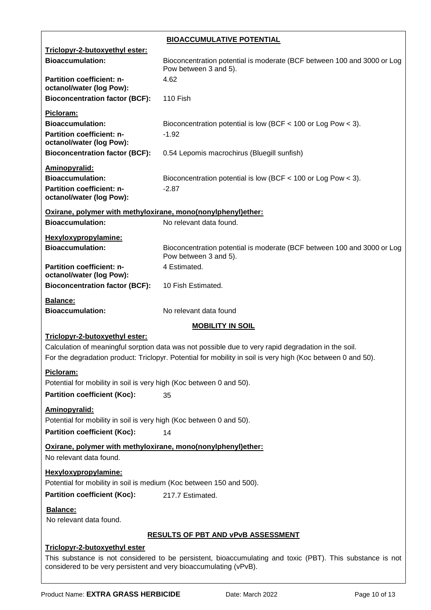|                                                                                                                                                                                | <b>BIOACCUMULATIVE POTENTIAL</b>                                                                            |  |
|--------------------------------------------------------------------------------------------------------------------------------------------------------------------------------|-------------------------------------------------------------------------------------------------------------|--|
| Triclopyr-2-butoxyethyl ester:                                                                                                                                                 |                                                                                                             |  |
| <b>Bioaccumulation:</b>                                                                                                                                                        | Bioconcentration potential is moderate (BCF between 100 and 3000 or Log<br>Pow between 3 and 5).            |  |
| <b>Partition coefficient: n-</b><br>octanol/water (log Pow):                                                                                                                   | 4.62                                                                                                        |  |
| <b>Bioconcentration factor (BCF):</b>                                                                                                                                          | 110 Fish                                                                                                    |  |
| Picloram:                                                                                                                                                                      |                                                                                                             |  |
| <b>Bioaccumulation:</b>                                                                                                                                                        | Bioconcentration potential is low (BCF $<$ 100 or Log Pow $<$ 3).                                           |  |
| Partition coefficient: n-<br>octanol/water (log Pow):                                                                                                                          | $-1.92$                                                                                                     |  |
| <b>Bioconcentration factor (BCF):</b>                                                                                                                                          | 0.54 Lepomis macrochirus (Bluegill sunfish)                                                                 |  |
| Aminopyralid:                                                                                                                                                                  |                                                                                                             |  |
| <b>Bioaccumulation:</b>                                                                                                                                                        | Bioconcentration potential is low (BCF $<$ 100 or Log Pow $<$ 3).                                           |  |
| Partition coefficient: n-<br>octanol/water (log Pow):                                                                                                                          | $-2.87$                                                                                                     |  |
| Oxirane, polymer with methyloxirane, mono(nonylphenyl)ether:                                                                                                                   |                                                                                                             |  |
| <b>Bioaccumulation:</b>                                                                                                                                                        | No relevant data found.                                                                                     |  |
| Hexyloxypropylamine:                                                                                                                                                           |                                                                                                             |  |
| <b>Bioaccumulation:</b>                                                                                                                                                        | Bioconcentration potential is moderate (BCF between 100 and 3000 or Log<br>Pow between 3 and 5).            |  |
| Partition coefficient: n-<br>octanol/water (log Pow):                                                                                                                          | 4 Estimated.                                                                                                |  |
| <b>Bioconcentration factor (BCF):</b>                                                                                                                                          | 10 Fish Estimated.                                                                                          |  |
| Balance:                                                                                                                                                                       |                                                                                                             |  |
| <b>Bioaccumulation:</b>                                                                                                                                                        | No relevant data found                                                                                      |  |
|                                                                                                                                                                                | <b>MOBILITY IN SOIL</b>                                                                                     |  |
| Triclopyr-2-butoxyethyl ester:                                                                                                                                                 | Calculation of meaningful sorption data was not possible due to very rapid degradation in the soil.         |  |
|                                                                                                                                                                                | For the degradation product: Triclopyr. Potential for mobility in soil is very high (Koc between 0 and 50). |  |
| Picloram:                                                                                                                                                                      |                                                                                                             |  |
| Potential for mobility in soil is very high (Koc between 0 and 50).                                                                                                            |                                                                                                             |  |
| <b>Partition coefficient (Koc):</b>                                                                                                                                            | 35                                                                                                          |  |
| Aminopyralid:                                                                                                                                                                  |                                                                                                             |  |
| Potential for mobility in soil is very high (Koc between 0 and 50).                                                                                                            |                                                                                                             |  |
| <b>Partition coefficient (Koc):</b><br>14                                                                                                                                      |                                                                                                             |  |
| Oxirane, polymer with methyloxirane, mono(nonylphenyl)ether:<br>No relevant data found.                                                                                        |                                                                                                             |  |
| Hexyloxypropylamine:                                                                                                                                                           |                                                                                                             |  |
| Potential for mobility in soil is medium (Koc between 150 and 500).                                                                                                            |                                                                                                             |  |
| <b>Partition coefficient (Koc):</b><br>217.7 Estimated.                                                                                                                        |                                                                                                             |  |
| Balance:<br>No relevant data found.                                                                                                                                            |                                                                                                             |  |
| <b>RESULTS OF PBT AND VPVB ASSESSMENT</b>                                                                                                                                      |                                                                                                             |  |
| Triclopyr-2-butoxyethyl ester                                                                                                                                                  |                                                                                                             |  |
| This substance is not considered to be persistent, bioaccumulating and toxic (PBT). This substance is not<br>considered to be very persistent and very bioaccumulating (vPvB). |                                                                                                             |  |
|                                                                                                                                                                                |                                                                                                             |  |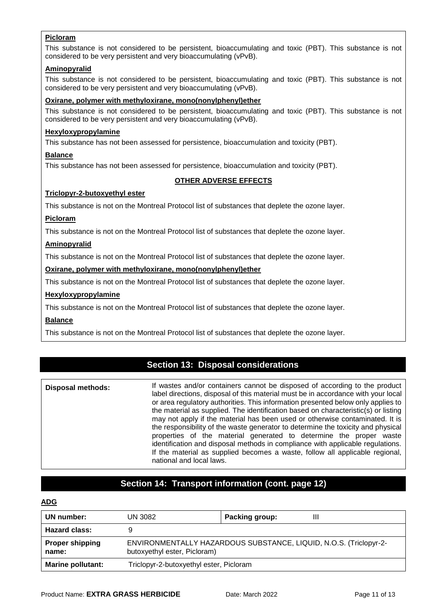#### **Picloram**

This substance is not considered to be persistent, bioaccumulating and toxic (PBT). This substance is not considered to be very persistent and very bioaccumulating (vPvB).

#### **Aminopyralid**

This substance is not considered to be persistent, bioaccumulating and toxic (PBT). This substance is not considered to be very persistent and very bioaccumulating (vPvB).

#### **Oxirane, polymer with methyloxirane, mono(nonylphenyl)ether**

This substance is not considered to be persistent, bioaccumulating and toxic (PBT). This substance is not considered to be very persistent and very bioaccumulating (vPvB).

#### **Hexyloxypropylamine**

This substance has not been assessed for persistence, bioaccumulation and toxicity (PBT).

#### **Balance**

This substance has not been assessed for persistence, bioaccumulation and toxicity (PBT).

#### **OTHER ADVERSE EFFECTS**

#### **Triclopyr-2-butoxyethyl ester**

This substance is not on the Montreal Protocol list of substances that deplete the ozone layer.

#### **Picloram**

This substance is not on the Montreal Protocol list of substances that deplete the ozone layer.

#### **Aminopyralid**

This substance is not on the Montreal Protocol list of substances that deplete the ozone layer.

#### **Oxirane, polymer with methyloxirane, mono(nonylphenyl)ether**

This substance is not on the Montreal Protocol list of substances that deplete the ozone layer.

#### **Hexyloxypropylamine**

This substance is not on the Montreal Protocol list of substances that deplete the ozone layer.

#### **Balance**

This substance is not on the Montreal Protocol list of substances that deplete the ozone layer.

### **Section 13: Disposal considerations**

**Disposal methods:** If wastes and/or containers cannot be disposed of according to the product label directions, disposal of this material must be in accordance with your local or area regulatory authorities. This information presented below only applies to the material as supplied. The identification based on characteristic(s) or listing may not apply if the material has been used or otherwise contaminated. It is the responsibility of the waste generator to determine the toxicity and physical properties of the material generated to determine the proper waste identification and disposal methods in compliance with applicable regulations. If the material as supplied becomes a waste, follow all applicable regional, national and local laws.

### **Section 14: Transport information (cont. page 12)**

#### **ADG**

| UN number:                      | UN 3082                                                                                           | <b>Packing group:</b><br>Ш |
|---------------------------------|---------------------------------------------------------------------------------------------------|----------------------------|
| <b>Hazard class:</b>            | 9                                                                                                 |                            |
| <b>Proper shipping</b><br>name: | ENVIRONMENTALLY HAZARDOUS SUBSTANCE, LIQUID, N.O.S. (Triclopyr-2-<br>butoxyethyl ester, Picloram) |                            |
| <b>Marine pollutant:</b>        | Triclopyr-2-butoxyethyl ester, Picloram                                                           |                            |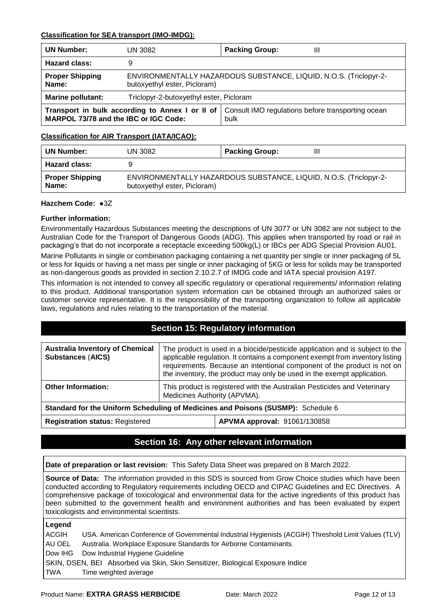#### **Classification for SEA transport (IMO-IMDG):**

| <b>UN Number:</b>                                                                        | UN 3082                                                                                           | <b>Packing Group:</b><br>Ш                                |
|------------------------------------------------------------------------------------------|---------------------------------------------------------------------------------------------------|-----------------------------------------------------------|
| <b>Hazard class:</b>                                                                     | 9                                                                                                 |                                                           |
| <b>Proper Shipping</b><br>Name:                                                          | ENVIRONMENTALLY HAZARDOUS SUBSTANCE, LIQUID, N.O.S. (Triclopyr-2-<br>butoxyethyl ester, Picloram) |                                                           |
| <b>Marine pollutant:</b>                                                                 | Triclopyr-2-butoxyethyl ester, Picloram                                                           |                                                           |
| Transport in bulk according to Annex I or II of<br>MARPOL 73/78 and the IBC or IGC Code: |                                                                                                   | Consult IMO regulations before transporting ocean<br>bulk |

#### **Classification for AIR Transport (IATA/ICAO):**

| <b>UN Number:</b>               | UN 3082                                                                                           | <b>Packing Group:</b><br>Ш |
|---------------------------------|---------------------------------------------------------------------------------------------------|----------------------------|
| <b>Hazard class:</b>            |                                                                                                   |                            |
| <b>Proper Shipping</b><br>Name: | ENVIRONMENTALLY HAZARDOUS SUBSTANCE, LIQUID, N.O.S. (Triclopyr-2-<br>butoxyethyl ester, Picloram) |                            |

#### **Hazchem Code:** ●3Z

#### **Further information:**

Environmentally Hazardous Substances meeting the descriptions of UN 3077 or UN 3082 are not subject to the Australian Code for the Transport of Dangerous Goods (ADG). This applies when transported by road or rail in packaging's that do not incorporate a receptacle exceeding 500kg(L) or IBCs per ADG Special Provision AU01.

Marine Pollutants in single or combination packaging containing a net quantity per single or inner packaging of 5L or less for liquids or having a net mass per single or inner packaging of 5KG or less for solids may be transported as non-dangerous goods as provided in section 2.10.2.7 of IMDG code and IATA special provision A197.

This information is not intended to convey all specific regulatory or operational requirements/ information relating to this product. Additional transportation system information can be obtained through an authorized sales or customer service representative. It is the responsibility of the transporting organization to follow all applicable laws, regulations and rules relating to the transportation of the material.

### **Section 15: Regulatory information**

| <b>Australia Inventory of Chemical</b><br><b>Substances (AICS)</b>               | The product is used in a biocide/pesticide application and is subject to the<br>applicable regulation. It contains a component exempt from inventory listing<br>requirements. Because an intentional component of the product is not on<br>the inventory, the product may only be used in the exempt application. |  |
|----------------------------------------------------------------------------------|-------------------------------------------------------------------------------------------------------------------------------------------------------------------------------------------------------------------------------------------------------------------------------------------------------------------|--|
| <b>Other Information:</b>                                                        | This product is registered with the Australian Pesticides and Veterinary<br>Medicines Authority (APVMA).                                                                                                                                                                                                          |  |
| Standard for the Uniform Scheduling of Medicines and Poisons (SUSMP): Schedule 6 |                                                                                                                                                                                                                                                                                                                   |  |
| <b>Registration status: Registered</b>                                           | APVMA approval: 91061/130858                                                                                                                                                                                                                                                                                      |  |

## **Section 16: Any other relevant information**

**Date of preparation or last revision:** This Safety Data Sheet was prepared on 8 March 2022.

**Source of Data:** The information provided in this SDS is sourced from Grow Choice studies which have been conducted according to Regulatory requirements including OECD and CIPAC Guidelines and EC Directives. A comprehensive package of toxicological and environmental data for the active ingredients of this product has been submitted to the government health and environment authorities and has been evaluated by expert toxicologists and environmental scientists.

#### **Legend**

ACGIH USA. American Conference of Governmental Industrial Hygienists (ACGIH) Threshold Limit Values (TLV) AU OEL Australia. Workplace Exposure Standards for Airborne Contaminants. Dow IHG Dow Industrial Hygiene Guideline SKIN, DSEN, BEI Absorbed via Skin, Skin Sensitizer, Biological Exposure Indice TWA Time weighted average